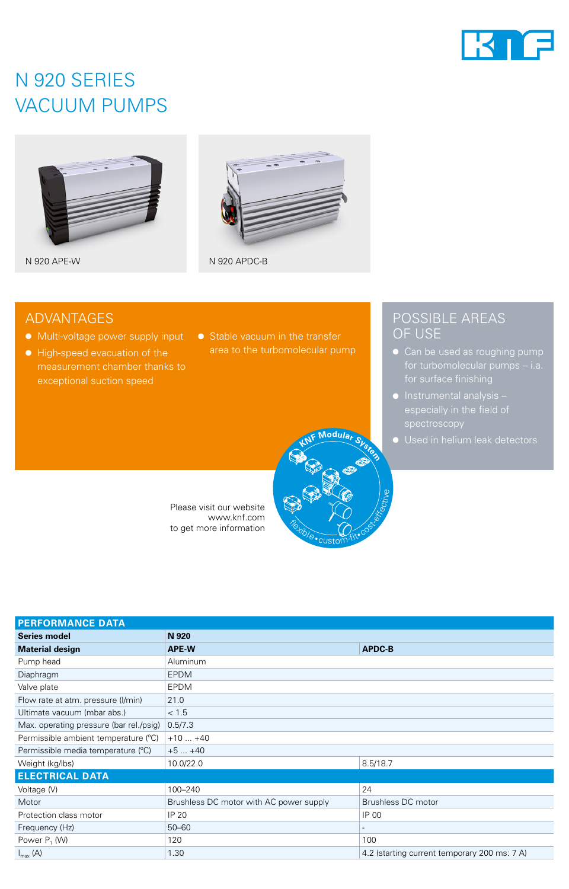

## N 920 SERIES VACUUM PUMPS



N 920 APE-W N 920 APDC-B



### ADVANTAGES

- Multi-voltage power supply input
- High-speed evacuation of the measurement chamber thanks to exceptional suction speed
- Stable vacuum in the transfer area to the turbomolecular pump

**<sup>K</sup>N<sup>F</sup> <sup>M</sup>odula<sup>r</sup> <sup>S</sup>yste<sup>m</sup>**

custom-fit• cost-

**Flexible** 

Please visit our website www.knf.com to get more information

### POSSIBLE AREAS OF USE

- Can be used as roughing pump
- Instrumental analysis spectroscopy
- Used in helium leak detectors

| <b>PERFORMANCE DATA</b>                 |                                         |                                              |  |  |
|-----------------------------------------|-----------------------------------------|----------------------------------------------|--|--|
| <b>Series model</b>                     | N 920                                   |                                              |  |  |
| <b>Material design</b>                  | APE-W                                   | <b>APDC-B</b>                                |  |  |
| Pump head                               | Aluminum                                |                                              |  |  |
| Diaphragm                               | <b>EPDM</b>                             |                                              |  |  |
| Valve plate                             | <b>EPDM</b>                             |                                              |  |  |
| Flow rate at atm. pressure (I/min)      | 21.0                                    |                                              |  |  |
| Ultimate vacuum (mbar abs.)             | < 1.5                                   |                                              |  |  |
| Max. operating pressure (bar rel./psig) | 0.5/7.3                                 |                                              |  |  |
| Permissible ambient temperature (°C)    | $+10+40$                                |                                              |  |  |
| Permissible media temperature (°C)      | $+5+40$                                 |                                              |  |  |
| Weight (kg/lbs)                         | 10.0/22.0                               | 8.5/18.7                                     |  |  |
| <b>ELECTRICAL DATA</b>                  |                                         |                                              |  |  |
| Voltage (V)                             | 100-240                                 | 24                                           |  |  |
| Motor                                   | Brushless DC motor with AC power supply | Brushless DC motor                           |  |  |
| Protection class motor                  | IP 20                                   | IP 00                                        |  |  |
| Frequency (Hz)                          | $50 - 60$                               |                                              |  |  |
| Power P <sub>1</sub> (W)                | 120                                     | 100                                          |  |  |
| $I_{\text{max}}(A)$                     | 1.30                                    | 4.2 (starting current temporary 200 ms: 7 A) |  |  |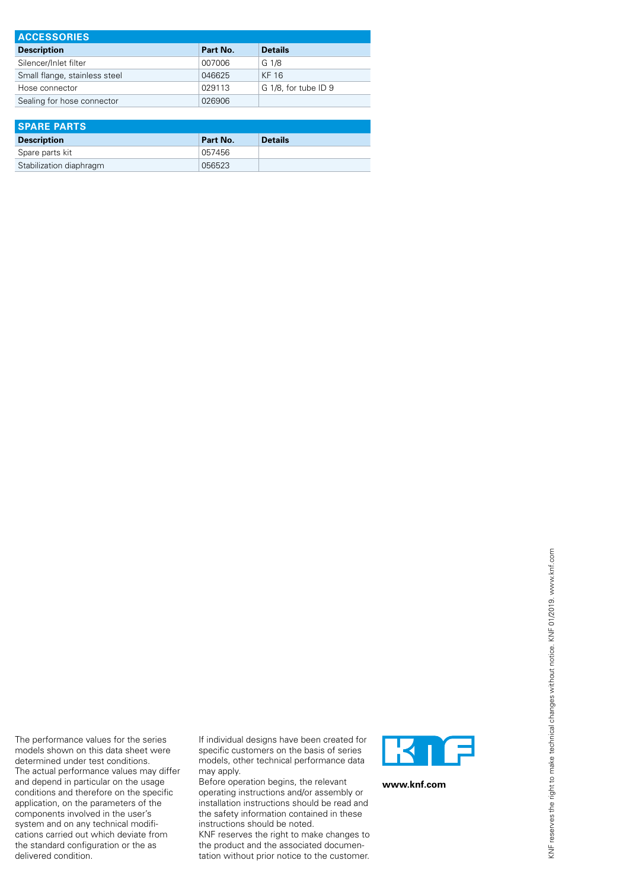| <b>ACCESSORIES</b>            |          |                      |  |  |  |
|-------------------------------|----------|----------------------|--|--|--|
| <b>Description</b>            | Part No. | <b>Details</b>       |  |  |  |
| Silencer/Inlet filter         | 007006   | G 1/8                |  |  |  |
| Small flange, stainless steel | 046625   | KF 16                |  |  |  |
| Hose connector                | 029113   | G 1/8, for tube ID 9 |  |  |  |
| Sealing for hose connector    | 026906   |                      |  |  |  |

| <b>SPARE PARTS</b>      |          |                |  |  |
|-------------------------|----------|----------------|--|--|
| <b>Description</b>      | Part No. | <b>Details</b> |  |  |
| Spare parts kit         | 057456   |                |  |  |
| Stabilization diaphragm | 056523   |                |  |  |

The performance values for the series models shown on this data sheet were determined under test conditions. The actual performance values may differ and depend in particular on the usage conditions and therefore on the specific application, on the parameters of the components involved in the user's system and on any technical modifications carried out which deviate from the standard configuration or the as delivered condition.

If individual designs have been created for specific customers on the basis of series models, other technical performance data may apply.

Before operation begins, the relevant operating instructions and/or assembly or installation instructions should be read and the safety information contained in these instructions should be noted.

KNF reserves the right to make changes to the product and the associated documentation without prior notice to the customer.



**www.knf.com**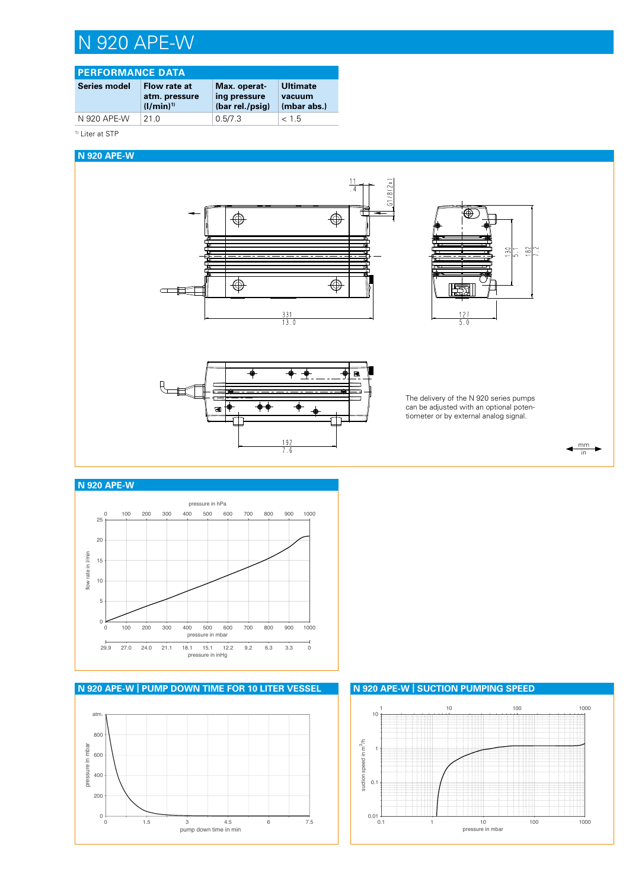## N 920 APE-W

### **PERFORMANCE DATA**

| Series model | Flow rate at   | Max. operat-    | <b>Ultimate</b> |
|--------------|----------------|-----------------|-----------------|
|              | atm. pressure  | ing pressure    | vacuum          |
|              | $(1/\min)^{1}$ | (bar rel./psig) | (mbar abs.)     |
| N 920 APE-W  | 21 Q           | 0.5/7.3         | < 1.5           |

<sup>1)</sup> Liter at STP

#### **N 920 APE-W**







The delivery of the N 920 series pumps can be adjusted with an optional potentiometer or by external analog signal.



#### **N 920 APE-W**